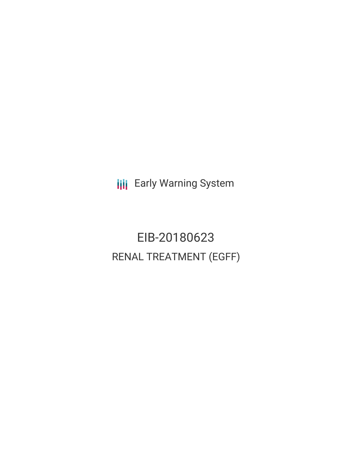**III** Early Warning System

EIB-20180623 RENAL TREATMENT (EGFF)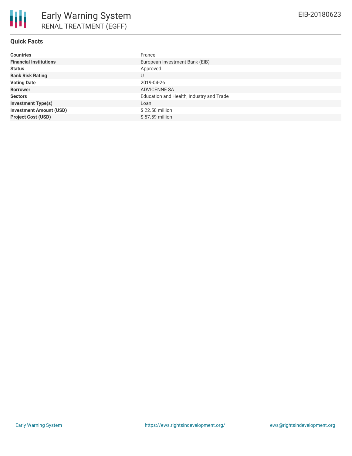| <b>Countries</b>               | France                                   |
|--------------------------------|------------------------------------------|
| <b>Financial Institutions</b>  | European Investment Bank (EIB)           |
| <b>Status</b>                  | Approved                                 |
| <b>Bank Risk Rating</b>        |                                          |
| <b>Voting Date</b>             | 2019-04-26                               |
| <b>Borrower</b>                | ADVICENNE SA                             |
| <b>Sectors</b>                 | Education and Health, Industry and Trade |
| <b>Investment Type(s)</b>      | Loan                                     |
| <b>Investment Amount (USD)</b> | \$22.58 million                          |
| <b>Project Cost (USD)</b>      | \$57.59 million                          |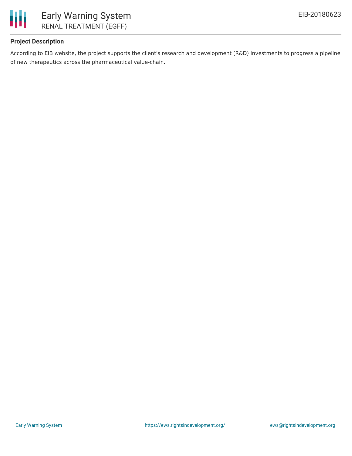

# **Project Description**

According to EIB website, the project supports the client's research and development (R&D) investments to progress a pipeline of new therapeutics across the pharmaceutical value-chain.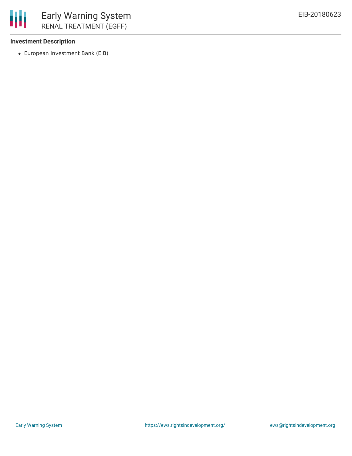

### **Investment Description**

European Investment Bank (EIB)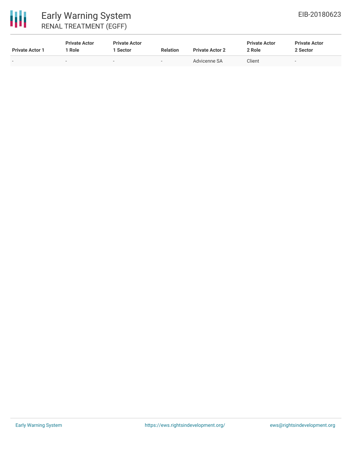# 冊 Early Warning System RENAL TREATMENT (EGFF)

| <b>Private Actor 1</b> | <b>Private Actor</b><br>' Role | <b>Private Actor</b><br>l Sector | <b>Relation</b>          | <b>Private Actor 2</b> | <b>Private Actor</b><br>2 Role | <b>Private Actor</b><br>2 Sector |
|------------------------|--------------------------------|----------------------------------|--------------------------|------------------------|--------------------------------|----------------------------------|
| $\sim$                 |                                | $\overline{\phantom{a}}$         | $\overline{\phantom{0}}$ | Advicenne SA           | Client                         |                                  |